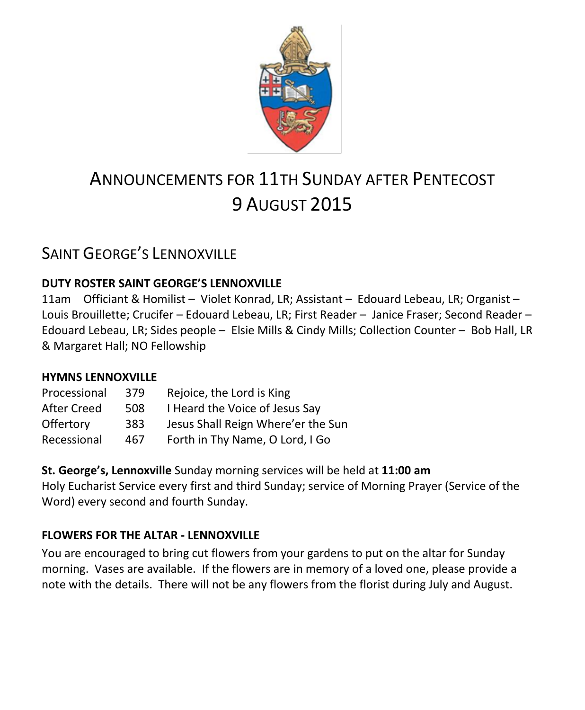

# ANNOUNCEMENTS FOR 11TH SUNDAY AFTER PENTECOST 9 AUGUST 2015

# SAINT GEORGE'S LENNOXVILLE

### **DUTY ROSTER SAINT GEORGE'S LENNOXVILLE**

11am Officiant & Homilist – Violet Konrad, LR; Assistant – Edouard Lebeau, LR; Organist – Louis Brouillette; Crucifer – Edouard Lebeau, LR; First Reader – Janice Fraser; Second Reader – Edouard Lebeau, LR; Sides people – Elsie Mills & Cindy Mills; Collection Counter – Bob Hall, LR & Margaret Hall; NO Fellowship

### **HYMNS LENNOXVILLE**

| Processional | 379 | Rejoice, the Lord is King          |
|--------------|-----|------------------------------------|
| After Creed  | 508 | I Heard the Voice of Jesus Say     |
| Offertory    | 383 | Jesus Shall Reign Where'er the Sun |
| Recessional  | 467 | Forth in Thy Name, O Lord, I Go    |

**St. George's, Lennoxville** Sunday morning services will be held at **11:00 am** Holy Eucharist Service every first and third Sunday; service of Morning Prayer (Service of the Word) every second and fourth Sunday.

### **FLOWERS FOR THE ALTAR - LENNOXVILLE**

You are encouraged to bring cut flowers from your gardens to put on the altar for Sunday morning. Vases are available. If the flowers are in memory of a loved one, please provide a note with the details. There will not be any flowers from the florist during July and August.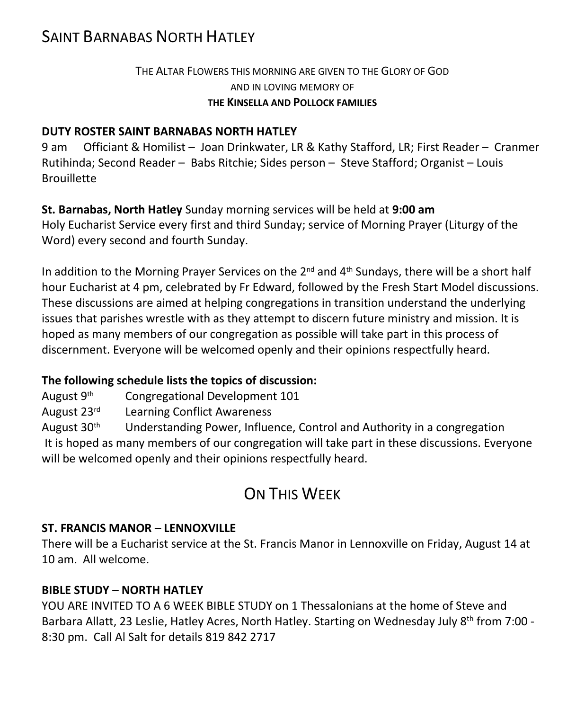# SAINT BARNABAS NORTH HATLEY

### THE ALTAR FLOWERS THIS MORNING ARE GIVEN TO THE GLORY OF GOD AND IN LOVING MEMORY OF **THE KINSELLA AND POLLOCK FAMILIES**

#### **DUTY ROSTER SAINT BARNABAS NORTH HATLEY**

9 am Officiant & Homilist – Joan Drinkwater, LR & Kathy Stafford, LR; First Reader – Cranmer Rutihinda; Second Reader – Babs Ritchie; Sides person – Steve Stafford; Organist – Louis **Brouillette** 

**St. Barnabas, North Hatley** Sunday morning services will be held at **9:00 am** Holy Eucharist Service every first and third Sunday; service of Morning Prayer (Liturgy of the Word) every second and fourth Sunday.

In addition to the Morning Prayer Services on the  $2^{nd}$  and  $4^{th}$  Sundays, there will be a short half hour Eucharist at 4 pm, celebrated by Fr Edward, followed by the Fresh Start Model discussions. These discussions are aimed at helping congregations in transition understand the underlying issues that parishes wrestle with as they attempt to discern future ministry and mission. It is hoped as many members of our congregation as possible will take part in this process of discernment. Everyone will be welcomed openly and their opinions respectfully heard.

### **The following schedule lists the topics of discussion:**

August 9th Congregational Development 101

August 23rd Learning Conflict Awareness

August  $30<sup>th</sup>$  Understanding Power, Influence, Control and Authority in a congregation It is hoped as many members of our congregation will take part in these discussions. Everyone will be welcomed openly and their opinions respectfully heard.

# ON THIS WEEK

#### **ST. FRANCIS MANOR – LENNOXVILLE**

There will be a Eucharist service at the St. Francis Manor in Lennoxville on Friday, August 14 at 10 am. All welcome.

#### **BIBLE STUDY – NORTH HATLEY**

YOU ARE INVITED TO A 6 WEEK BIBLE STUDY on 1 Thessalonians at the home of Steve and Barbara Allatt, 23 Leslie, Hatley Acres, North Hatley. Starting on Wednesday July 8th from 7:00 - 8:30 pm. Call Al Salt for details 819 842 2717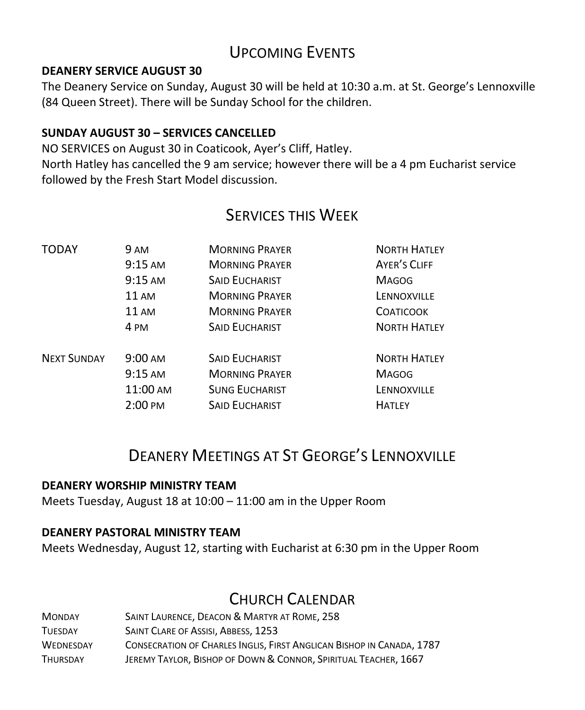# UPCOMING EVENTS

#### **DEANERY SERVICE AUGUST 30**

The Deanery Service on Sunday, August 30 will be held at 10:30 a.m. at St. George's Lennoxville (84 Queen Street). There will be Sunday School for the children.

### **SUNDAY AUGUST 30 – SERVICES CANCELLED**

NO SERVICES on August 30 in Coaticook, Ayer's Cliff, Hatley. North Hatley has cancelled the 9 am service; however there will be a 4 pm Eucharist service followed by the Fresh Start Model discussion.

# SERVICES THIS WEEK

| TODAY              | 9 AM              | <b>MORNING PRAYER</b> | <b>NORTH HATLEY</b> |
|--------------------|-------------------|-----------------------|---------------------|
|                    | $9:15 \text{ AM}$ | <b>MORNING PRAYER</b> | <b>AYER'S CLIFF</b> |
|                    | $9:15 \text{ AM}$ | <b>SAID EUCHARIST</b> | <b>MAGOG</b>        |
|                    | <b>11 AM</b>      | <b>MORNING PRAYER</b> | LENNOXVILLE         |
|                    | <b>11 AM</b>      | <b>MORNING PRAYER</b> | <b>COATICOOK</b>    |
|                    | 4 PM              | <b>SAID EUCHARIST</b> | <b>NORTH HATLEY</b> |
| <b>NEXT SUNDAY</b> | $9:00 \text{ AM}$ | <b>SAID EUCHARIST</b> | <b>NORTH HATLEY</b> |
|                    | $9:15 \text{ AM}$ | <b>MORNING PRAYER</b> | <b>MAGOG</b>        |
|                    | 11:00 AM          | <b>SUNG EUCHARIST</b> | LENNOXVILLE         |
|                    | $2:00 \text{ PM}$ | <b>SAID EUCHARIST</b> | <b>HATLEY</b>       |

# DEANERY MEETINGS AT ST GEORGE'S LENNOXVILLE

### **DEANERY WORSHIP MINISTRY TEAM**

Meets Tuesday, August 18 at 10:00 – 11:00 am in the Upper Room

#### **DEANERY PASTORAL MINISTRY TEAM**

Meets Wednesday, August 12, starting with Eucharist at 6:30 pm in the Upper Room

# CHURCH CALENDAR

| <b>MONDAY</b>    | <b>SAINT LAURENCE, DEACON &amp; MARTYR AT ROME, 258</b>               |
|------------------|-----------------------------------------------------------------------|
| <b>TUESDAY</b>   | SAINT CLARE OF ASSISI, ABBESS, 1253                                   |
| <b>WEDNESDAY</b> | CONSECRATION OF CHARLES INGLIS, FIRST ANGLICAN BISHOP IN CANADA, 1787 |
| <b>THURSDAY</b>  | JEREMY TAYLOR, BISHOP OF DOWN & CONNOR, SPIRITUAL TEACHER, 1667       |